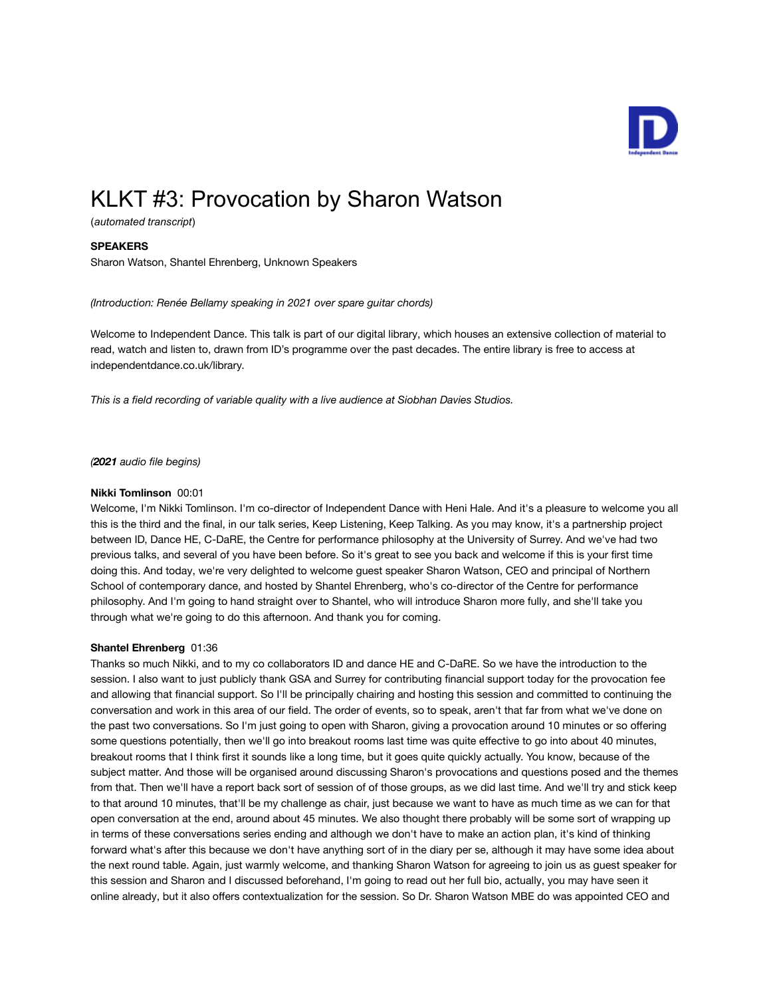

# KLKT #3: Provocation by Sharon Watson

(*automated transcript*)

# **SPEAKERS**

Sharon Watson, Shantel Ehrenberg, Unknown Speakers

*(Introduction: Renée Bellamy speaking in 2021 over spare guitar chords)*

Welcome to Independent Dance. This talk is part of our digital library, which houses an extensive collection of material to read, watch and listen to, drawn from ID's programme over the past decades. The entire library is free to access at independentdance.co.uk/library.

*This is a field recording of variable quality with a live audience at Siobhan Davies Studios.*

*(2021 audio file begins)*

# **Nikki Tomlinson** 00:01

Welcome, I'm Nikki Tomlinson. I'm co-director of Independent Dance with Heni Hale. And it's a pleasure to welcome you all this is the third and the final, in our talk series, Keep Listening, Keep Talking. As you may know, it's a partnership project between ID, Dance HE, C-DaRE, the Centre for performance philosophy at the University of Surrey. And we've had two previous talks, and several of you have been before. So it's great to see you back and welcome if this is your first time doing this. And today, we're very delighted to welcome guest speaker Sharon Watson, CEO and principal of Northern School of contemporary dance, and hosted by Shantel Ehrenberg, who's co-director of the Centre for performance philosophy. And I'm going to hand straight over to Shantel, who will introduce Sharon more fully, and she'll take you through what we're going to do this afternoon. And thank you for coming.

# **Shantel Ehrenberg** 01:36

Thanks so much Nikki, and to my co collaborators ID and dance HE and C-DaRE. So we have the introduction to the session. I also want to just publicly thank GSA and Surrey for contributing financial support today for the provocation fee and allowing that financial support. So I'll be principally chairing and hosting this session and committed to continuing the conversation and work in this area of our field. The order of events, so to speak, aren't that far from what we've done on the past two conversations. So I'm just going to open with Sharon, giving a provocation around 10 minutes or so offering some questions potentially, then we'll go into breakout rooms last time was quite effective to go into about 40 minutes, breakout rooms that I think first it sounds like a long time, but it goes quite quickly actually. You know, because of the subject matter. And those will be organised around discussing Sharon's provocations and questions posed and the themes from that. Then we'll have a report back sort of session of of those groups, as we did last time. And we'll try and stick keep to that around 10 minutes, that'll be my challenge as chair, just because we want to have as much time as we can for that open conversation at the end, around about 45 minutes. We also thought there probably will be some sort of wrapping up in terms of these conversations series ending and although we don't have to make an action plan, it's kind of thinking forward what's after this because we don't have anything sort of in the diary per se, although it may have some idea about the next round table. Again, just warmly welcome, and thanking Sharon Watson for agreeing to join us as guest speaker for this session and Sharon and I discussed beforehand, I'm going to read out her full bio, actually, you may have seen it online already, but it also offers contextualization for the session. So Dr. Sharon Watson MBE do was appointed CEO and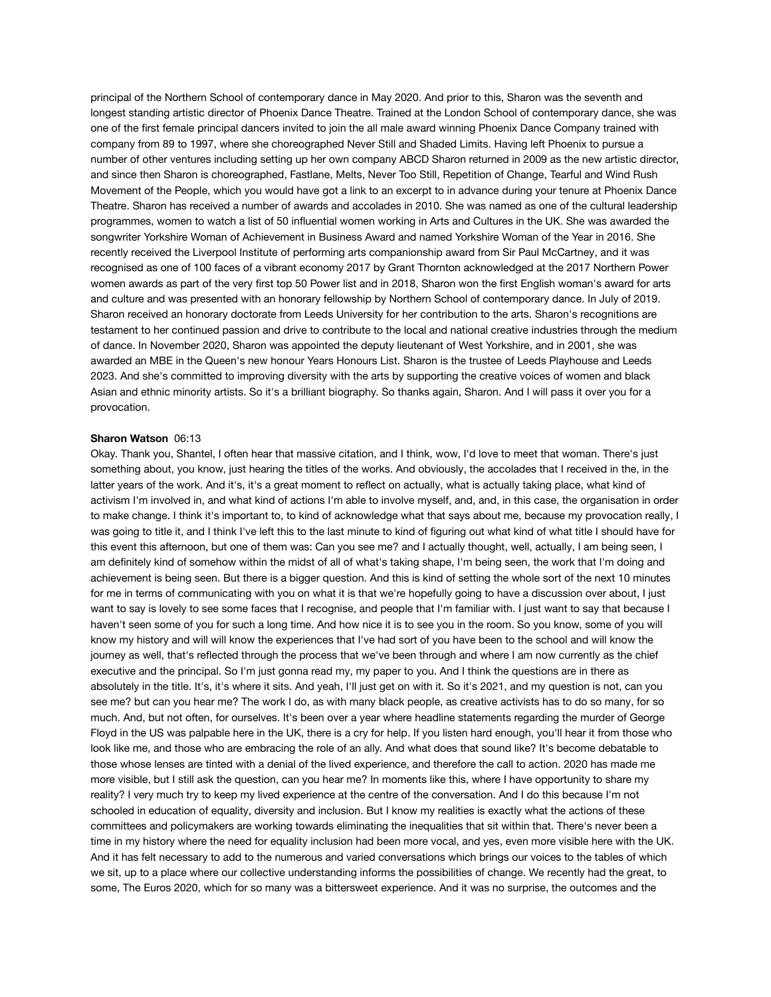principal of the Northern School of contemporary dance in May 2020. And prior to this, Sharon was the seventh and longest standing artistic director of Phoenix Dance Theatre. Trained at the London School of contemporary dance, she was one of the first female principal dancers invited to join the all male award winning Phoenix Dance Company trained with company from 89 to 1997, where she choreographed Never Still and Shaded Limits. Having left Phoenix to pursue a number of other ventures including setting up her own company ABCD Sharon returned in 2009 as the new artistic director, and since then Sharon is choreographed, Fastlane, Melts, Never Too Still, Repetition of Change, Tearful and Wind Rush Movement of the People, which you would have got a link to an excerpt to in advance during your tenure at Phoenix Dance Theatre. Sharon has received a number of awards and accolades in 2010. She was named as one of the cultural leadership programmes, women to watch a list of 50 influential women working in Arts and Cultures in the UK. She was awarded the songwriter Yorkshire Woman of Achievement in Business Award and named Yorkshire Woman of the Year in 2016. She recently received the Liverpool Institute of performing arts companionship award from Sir Paul McCartney, and it was recognised as one of 100 faces of a vibrant economy 2017 by Grant Thornton acknowledged at the 2017 Northern Power women awards as part of the very first top 50 Power list and in 2018, Sharon won the first English woman's award for arts and culture and was presented with an honorary fellowship by Northern School of contemporary dance. In July of 2019. Sharon received an honorary doctorate from Leeds University for her contribution to the arts. Sharon's recognitions are testament to her continued passion and drive to contribute to the local and national creative industries through the medium of dance. In November 2020, Sharon was appointed the deputy lieutenant of West Yorkshire, and in 2001, she was awarded an MBE in the Queen's new honour Years Honours List. Sharon is the trustee of Leeds Playhouse and Leeds 2023. And she's committed to improving diversity with the arts by supporting the creative voices of women and black Asian and ethnic minority artists. So it's a brilliant biography. So thanks again, Sharon. And I will pass it over you for a provocation.

#### **Sharon Watson** 06:13

Okay. Thank you, Shantel, I often hear that massive citation, and I think, wow, I'd love to meet that woman. There's just something about, you know, just hearing the titles of the works. And obviously, the accolades that I received in the, in the latter years of the work. And it's, it's a great moment to reflect on actually, what is actually taking place, what kind of activism I'm involved in, and what kind of actions I'm able to involve myself, and, and, in this case, the organisation in order to make change. I think it's important to, to kind of acknowledge what that says about me, because my provocation really, I was going to title it, and I think I've left this to the last minute to kind of figuring out what kind of what title I should have for this event this afternoon, but one of them was: Can you see me? and I actually thought, well, actually, I am being seen, I am definitely kind of somehow within the midst of all of what's taking shape, I'm being seen, the work that I'm doing and achievement is being seen. But there is a bigger question. And this is kind of setting the whole sort of the next 10 minutes for me in terms of communicating with you on what it is that we're hopefully going to have a discussion over about, I just want to say is lovely to see some faces that I recognise, and people that I'm familiar with. I just want to say that because I haven't seen some of you for such a long time. And how nice it is to see you in the room. So you know, some of you will know my history and will will know the experiences that I've had sort of you have been to the school and will know the journey as well, that's reflected through the process that we've been through and where I am now currently as the chief executive and the principal. So I'm just gonna read my, my paper to you. And I think the questions are in there as absolutely in the title. It's, it's where it sits. And yeah, I'll just get on with it. So it's 2021, and my question is not, can you see me? but can you hear me? The work I do, as with many black people, as creative activists has to do so many, for so much. And, but not often, for ourselves. It's been over a year where headline statements regarding the murder of George Floyd in the US was palpable here in the UK, there is a cry for help. If you listen hard enough, you'll hear it from those who look like me, and those who are embracing the role of an ally. And what does that sound like? It's become debatable to those whose lenses are tinted with a denial of the lived experience, and therefore the call to action. 2020 has made me more visible, but I still ask the question, can you hear me? In moments like this, where I have opportunity to share my reality? I very much try to keep my lived experience at the centre of the conversation. And I do this because I'm not schooled in education of equality, diversity and inclusion. But I know my realities is exactly what the actions of these committees and policymakers are working towards eliminating the inequalities that sit within that. There's never been a time in my history where the need for equality inclusion had been more vocal, and yes, even more visible here with the UK. And it has felt necessary to add to the numerous and varied conversations which brings our voices to the tables of which we sit, up to a place where our collective understanding informs the possibilities of change. We recently had the great, to some, The Euros 2020, which for so many was a bittersweet experience. And it was no surprise, the outcomes and the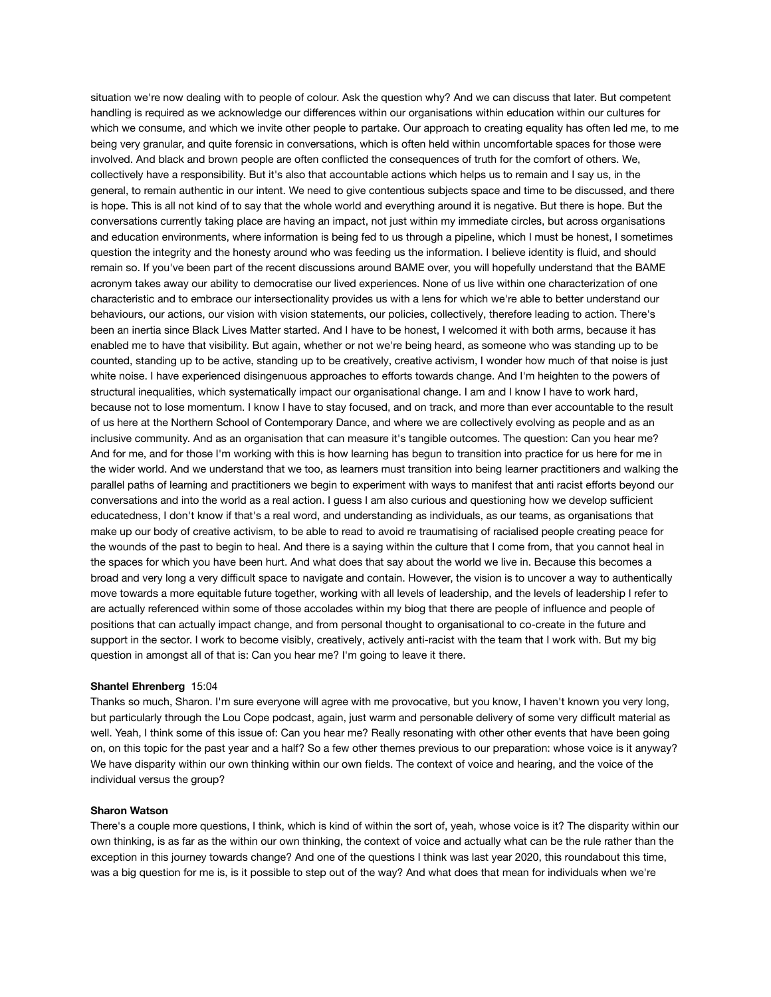situation we're now dealing with to people of colour. Ask the question why? And we can discuss that later. But competent handling is required as we acknowledge our differences within our organisations within education within our cultures for which we consume, and which we invite other people to partake. Our approach to creating equality has often led me, to me being very granular, and quite forensic in conversations, which is often held within uncomfortable spaces for those were involved. And black and brown people are often conflicted the consequences of truth for the comfort of others. We, collectively have a responsibility. But it's also that accountable actions which helps us to remain and I say us, in the general, to remain authentic in our intent. We need to give contentious subjects space and time to be discussed, and there is hope. This is all not kind of to say that the whole world and everything around it is negative. But there is hope. But the conversations currently taking place are having an impact, not just within my immediate circles, but across organisations and education environments, where information is being fed to us through a pipeline, which I must be honest, I sometimes question the integrity and the honesty around who was feeding us the information. I believe identity is fluid, and should remain so. If you've been part of the recent discussions around BAME over, you will hopefully understand that the BAME acronym takes away our ability to democratise our lived experiences. None of us live within one characterization of one characteristic and to embrace our intersectionality provides us with a lens for which we're able to better understand our behaviours, our actions, our vision with vision statements, our policies, collectively, therefore leading to action. There's been an inertia since Black Lives Matter started. And I have to be honest, I welcomed it with both arms, because it has enabled me to have that visibility. But again, whether or not we're being heard, as someone who was standing up to be counted, standing up to be active, standing up to be creatively, creative activism, I wonder how much of that noise is just white noise. I have experienced disingenuous approaches to efforts towards change. And I'm heighten to the powers of structural inequalities, which systematically impact our organisational change. I am and I know I have to work hard, because not to lose momentum. I know I have to stay focused, and on track, and more than ever accountable to the result of us here at the Northern School of Contemporary Dance, and where we are collectively evolving as people and as an inclusive community. And as an organisation that can measure it's tangible outcomes. The question: Can you hear me? And for me, and for those I'm working with this is how learning has begun to transition into practice for us here for me in the wider world. And we understand that we too, as learners must transition into being learner practitioners and walking the parallel paths of learning and practitioners we begin to experiment with ways to manifest that anti racist efforts beyond our conversations and into the world as a real action. I guess I am also curious and questioning how we develop sufficient educatedness, I don't know if that's a real word, and understanding as individuals, as our teams, as organisations that make up our body of creative activism, to be able to read to avoid re traumatising of racialised people creating peace for the wounds of the past to begin to heal. And there is a saying within the culture that I come from, that you cannot heal in the spaces for which you have been hurt. And what does that say about the world we live in. Because this becomes a broad and very long a very difficult space to navigate and contain. However, the vision is to uncover a way to authentically move towards a more equitable future together, working with all levels of leadership, and the levels of leadership I refer to are actually referenced within some of those accolades within my biog that there are people of influence and people of positions that can actually impact change, and from personal thought to organisational to co-create in the future and support in the sector. I work to become visibly, creatively, actively anti-racist with the team that I work with. But my big question in amongst all of that is: Can you hear me? I'm going to leave it there.

#### **Shantel Ehrenberg** 15:04

Thanks so much, Sharon. I'm sure everyone will agree with me provocative, but you know, I haven't known you very long, but particularly through the Lou Cope podcast, again, just warm and personable delivery of some very difficult material as well. Yeah, I think some of this issue of: Can you hear me? Really resonating with other other events that have been going on, on this topic for the past year and a half? So a few other themes previous to our preparation: whose voice is it anyway? We have disparity within our own thinking within our own fields. The context of voice and hearing, and the voice of the individual versus the group?

# **Sharon Watson**

There's a couple more questions, I think, which is kind of within the sort of, yeah, whose voice is it? The disparity within our own thinking, is as far as the within our own thinking, the context of voice and actually what can be the rule rather than the exception in this journey towards change? And one of the questions I think was last year 2020, this roundabout this time, was a big question for me is, is it possible to step out of the way? And what does that mean for individuals when we're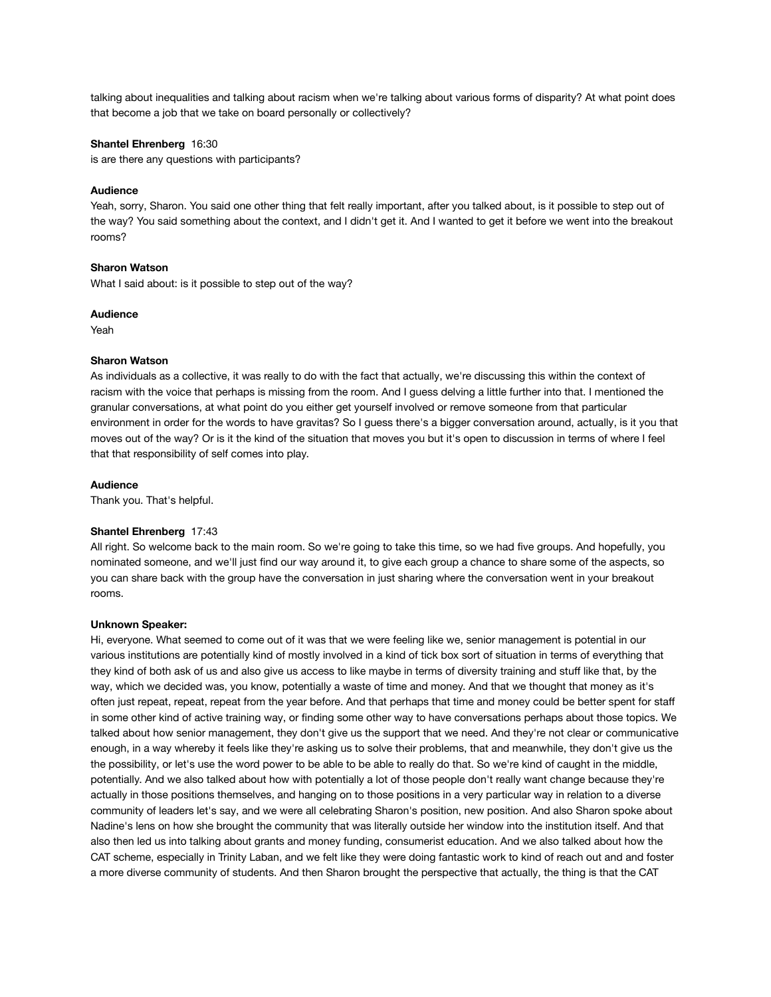talking about inequalities and talking about racism when we're talking about various forms of disparity? At what point does that become a job that we take on board personally or collectively?

# **Shantel Ehrenberg** 16:30

is are there any questions with participants?

## **Audience**

Yeah, sorry, Sharon. You said one other thing that felt really important, after you talked about, is it possible to step out of the way? You said something about the context, and I didn't get it. And I wanted to get it before we went into the breakout rooms?

# **Sharon Watson**

What I said about: is it possible to step out of the way?

## **Audience**

Yeah

# **Sharon Watson**

As individuals as a collective, it was really to do with the fact that actually, we're discussing this within the context of racism with the voice that perhaps is missing from the room. And I guess delving a little further into that. I mentioned the granular conversations, at what point do you either get yourself involved or remove someone from that particular environment in order for the words to have gravitas? So I guess there's a bigger conversation around, actually, is it you that moves out of the way? Or is it the kind of the situation that moves you but it's open to discussion in terms of where I feel that that responsibility of self comes into play.

## **Audience**

Thank you. That's helpful.

# **Shantel Ehrenberg** 17:43

All right. So welcome back to the main room. So we're going to take this time, so we had five groups. And hopefully, you nominated someone, and we'll just find our way around it, to give each group a chance to share some of the aspects, so you can share back with the group have the conversation in just sharing where the conversation went in your breakout rooms.

#### **Unknown Speaker:**

Hi, everyone. What seemed to come out of it was that we were feeling like we, senior management is potential in our various institutions are potentially kind of mostly involved in a kind of tick box sort of situation in terms of everything that they kind of both ask of us and also give us access to like maybe in terms of diversity training and stuff like that, by the way, which we decided was, you know, potentially a waste of time and money. And that we thought that money as it's often just repeat, repeat, repeat from the year before. And that perhaps that time and money could be better spent for staff in some other kind of active training way, or finding some other way to have conversations perhaps about those topics. We talked about how senior management, they don't give us the support that we need. And they're not clear or communicative enough, in a way whereby it feels like they're asking us to solve their problems, that and meanwhile, they don't give us the the possibility, or let's use the word power to be able to be able to really do that. So we're kind of caught in the middle, potentially. And we also talked about how with potentially a lot of those people don't really want change because they're actually in those positions themselves, and hanging on to those positions in a very particular way in relation to a diverse community of leaders let's say, and we were all celebrating Sharon's position, new position. And also Sharon spoke about Nadine's lens on how she brought the community that was literally outside her window into the institution itself. And that also then led us into talking about grants and money funding, consumerist education. And we also talked about how the CAT scheme, especially in Trinity Laban, and we felt like they were doing fantastic work to kind of reach out and and foster a more diverse community of students. And then Sharon brought the perspective that actually, the thing is that the CAT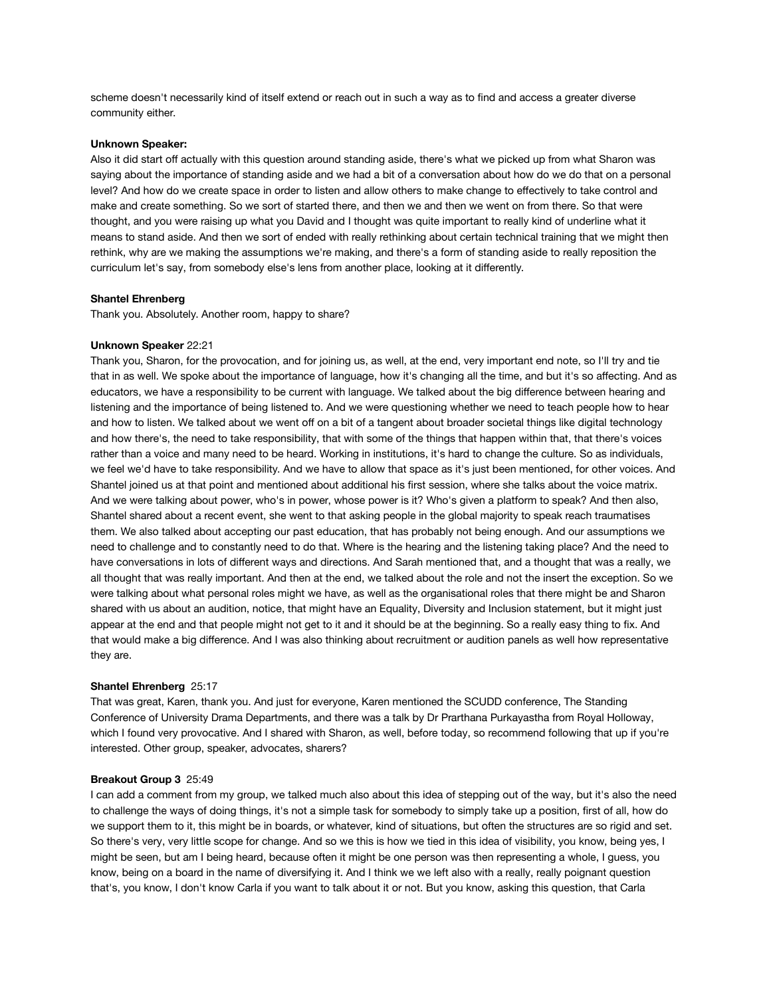scheme doesn't necessarily kind of itself extend or reach out in such a way as to find and access a greater diverse community either.

# **Unknown Speaker:**

Also it did start off actually with this question around standing aside, there's what we picked up from what Sharon was saying about the importance of standing aside and we had a bit of a conversation about how do we do that on a personal level? And how do we create space in order to listen and allow others to make change to effectively to take control and make and create something. So we sort of started there, and then we and then we went on from there. So that were thought, and you were raising up what you David and I thought was quite important to really kind of underline what it means to stand aside. And then we sort of ended with really rethinking about certain technical training that we might then rethink, why are we making the assumptions we're making, and there's a form of standing aside to really reposition the curriculum let's say, from somebody else's lens from another place, looking at it differently.

#### **Shantel Ehrenberg**

Thank you. Absolutely. Another room, happy to share?

# **Unknown Speaker** 22:21

Thank you, Sharon, for the provocation, and for joining us, as well, at the end, very important end note, so I'll try and tie that in as well. We spoke about the importance of language, how it's changing all the time, and but it's so affecting. And as educators, we have a responsibility to be current with language. We talked about the big difference between hearing and listening and the importance of being listened to. And we were questioning whether we need to teach people how to hear and how to listen. We talked about we went off on a bit of a tangent about broader societal things like digital technology and how there's, the need to take responsibility, that with some of the things that happen within that, that there's voices rather than a voice and many need to be heard. Working in institutions, it's hard to change the culture. So as individuals, we feel we'd have to take responsibility. And we have to allow that space as it's just been mentioned, for other voices. And Shantel joined us at that point and mentioned about additional his first session, where she talks about the voice matrix. And we were talking about power, who's in power, whose power is it? Who's given a platform to speak? And then also, Shantel shared about a recent event, she went to that asking people in the global majority to speak reach traumatises them. We also talked about accepting our past education, that has probably not being enough. And our assumptions we need to challenge and to constantly need to do that. Where is the hearing and the listening taking place? And the need to have conversations in lots of different ways and directions. And Sarah mentioned that, and a thought that was a really, we all thought that was really important. And then at the end, we talked about the role and not the insert the exception. So we were talking about what personal roles might we have, as well as the organisational roles that there might be and Sharon shared with us about an audition, notice, that might have an Equality, Diversity and Inclusion statement, but it might just appear at the end and that people might not get to it and it should be at the beginning. So a really easy thing to fix. And that would make a big difference. And I was also thinking about recruitment or audition panels as well how representative they are.

#### **Shantel Ehrenberg** 25:17

That was great, Karen, thank you. And just for everyone, Karen mentioned the SCUDD conference, The Standing Conference of University Drama Departments, and there was a talk by Dr Prarthana Purkayastha from Royal Holloway, which I found very provocative. And I shared with Sharon, as well, before today, so recommend following that up if you're interested. Other group, speaker, advocates, sharers?

#### **Breakout Group 3** 25:49

I can add a comment from my group, we talked much also about this idea of stepping out of the way, but it's also the need to challenge the ways of doing things, it's not a simple task for somebody to simply take up a position, first of all, how do we support them to it, this might be in boards, or whatever, kind of situations, but often the structures are so rigid and set. So there's very, very little scope for change. And so we this is how we tied in this idea of visibility, you know, being yes, I might be seen, but am I being heard, because often it might be one person was then representing a whole, I guess, you know, being on a board in the name of diversifying it. And I think we we left also with a really, really poignant question that's, you know, I don't know Carla if you want to talk about it or not. But you know, asking this question, that Carla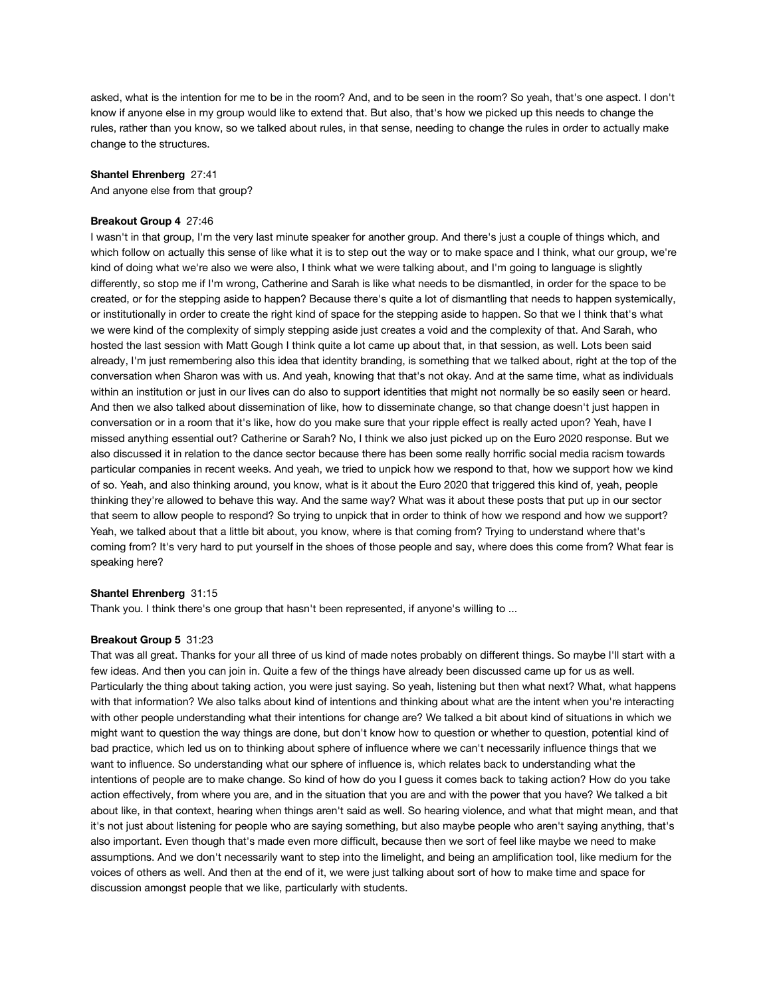asked, what is the intention for me to be in the room? And, and to be seen in the room? So yeah, that's one aspect. I don't know if anyone else in my group would like to extend that. But also, that's how we picked up this needs to change the rules, rather than you know, so we talked about rules, in that sense, needing to change the rules in order to actually make change to the structures.

#### **Shantel Ehrenberg** 27:41

And anyone else from that group?

## **Breakout Group 4** 27:46

I wasn't in that group, I'm the very last minute speaker for another group. And there's just a couple of things which, and which follow on actually this sense of like what it is to step out the way or to make space and I think, what our group, we're kind of doing what we're also we were also, I think what we were talking about, and I'm going to language is slightly differently, so stop me if I'm wrong, Catherine and Sarah is like what needs to be dismantled, in order for the space to be created, or for the stepping aside to happen? Because there's quite a lot of dismantling that needs to happen systemically, or institutionally in order to create the right kind of space for the stepping aside to happen. So that we I think that's what we were kind of the complexity of simply stepping aside just creates a void and the complexity of that. And Sarah, who hosted the last session with Matt Gough I think quite a lot came up about that, in that session, as well. Lots been said already, I'm just remembering also this idea that identity branding, is something that we talked about, right at the top of the conversation when Sharon was with us. And yeah, knowing that that's not okay. And at the same time, what as individuals within an institution or just in our lives can do also to support identities that might not normally be so easily seen or heard. And then we also talked about dissemination of like, how to disseminate change, so that change doesn't just happen in conversation or in a room that it's like, how do you make sure that your ripple effect is really acted upon? Yeah, have I missed anything essential out? Catherine or Sarah? No, I think we also just picked up on the Euro 2020 response. But we also discussed it in relation to the dance sector because there has been some really horrific social media racism towards particular companies in recent weeks. And yeah, we tried to unpick how we respond to that, how we support how we kind of so. Yeah, and also thinking around, you know, what is it about the Euro 2020 that triggered this kind of, yeah, people thinking they're allowed to behave this way. And the same way? What was it about these posts that put up in our sector that seem to allow people to respond? So trying to unpick that in order to think of how we respond and how we support? Yeah, we talked about that a little bit about, you know, where is that coming from? Trying to understand where that's coming from? It's very hard to put yourself in the shoes of those people and say, where does this come from? What fear is speaking here?

## **Shantel Ehrenberg** 31:15

Thank you. I think there's one group that hasn't been represented, if anyone's willing to ...

#### **Breakout Group 5** 31:23

That was all great. Thanks for your all three of us kind of made notes probably on different things. So maybe I'll start with a few ideas. And then you can join in. Quite a few of the things have already been discussed came up for us as well. Particularly the thing about taking action, you were just saying. So yeah, listening but then what next? What, what happens with that information? We also talks about kind of intentions and thinking about what are the intent when you're interacting with other people understanding what their intentions for change are? We talked a bit about kind of situations in which we might want to question the way things are done, but don't know how to question or whether to question, potential kind of bad practice, which led us on to thinking about sphere of influence where we can't necessarily influence things that we want to influence. So understanding what our sphere of influence is, which relates back to understanding what the intentions of people are to make change. So kind of how do you I guess it comes back to taking action? How do you take action effectively, from where you are, and in the situation that you are and with the power that you have? We talked a bit about like, in that context, hearing when things aren't said as well. So hearing violence, and what that might mean, and that it's not just about listening for people who are saying something, but also maybe people who aren't saying anything, that's also important. Even though that's made even more difficult, because then we sort of feel like maybe we need to make assumptions. And we don't necessarily want to step into the limelight, and being an amplification tool, like medium for the voices of others as well. And then at the end of it, we were just talking about sort of how to make time and space for discussion amongst people that we like, particularly with students.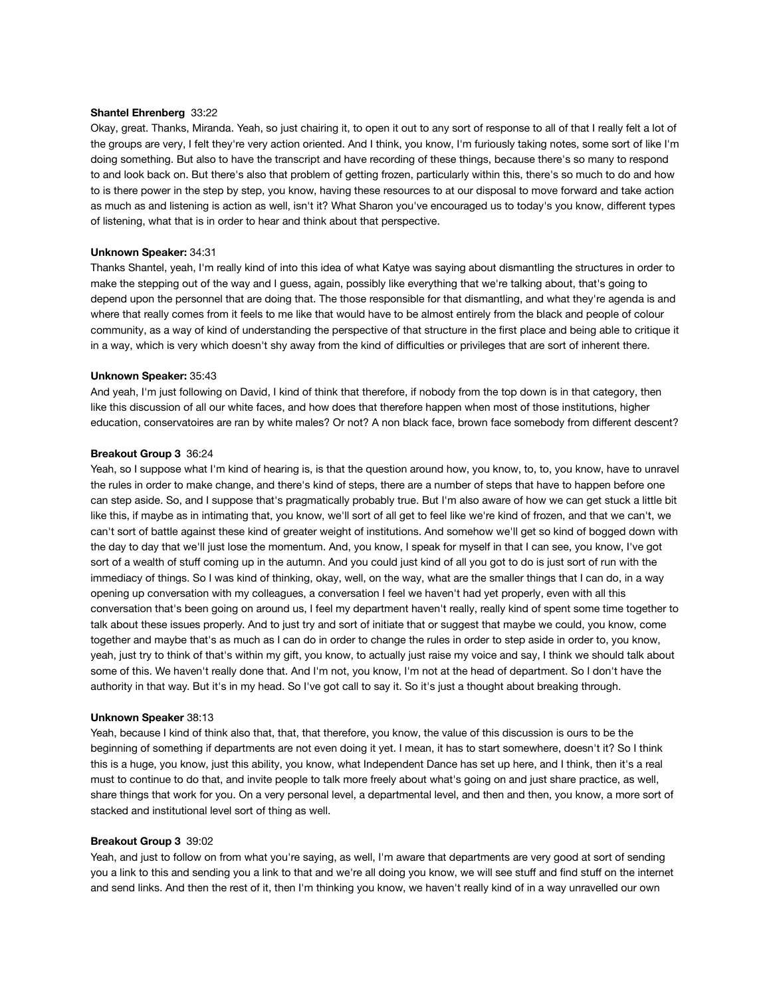#### **Shantel Ehrenberg** 33:22

Okay, great. Thanks, Miranda. Yeah, so just chairing it, to open it out to any sort of response to all of that I really felt a lot of the groups are very, I felt they're very action oriented. And I think, you know, I'm furiously taking notes, some sort of like I'm doing something. But also to have the transcript and have recording of these things, because there's so many to respond to and look back on. But there's also that problem of getting frozen, particularly within this, there's so much to do and how to is there power in the step by step, you know, having these resources to at our disposal to move forward and take action as much as and listening is action as well, isn't it? What Sharon you've encouraged us to today's you know, different types of listening, what that is in order to hear and think about that perspective.

#### **Unknown Speaker:** 34:31

Thanks Shantel, yeah, I'm really kind of into this idea of what Katye was saying about dismantling the structures in order to make the stepping out of the way and I guess, again, possibly like everything that we're talking about, that's going to depend upon the personnel that are doing that. The those responsible for that dismantling, and what they're agenda is and where that really comes from it feels to me like that would have to be almost entirely from the black and people of colour community, as a way of kind of understanding the perspective of that structure in the first place and being able to critique it in a way, which is very which doesn't shy away from the kind of difficulties or privileges that are sort of inherent there.

#### **Unknown Speaker:** 35:43

And yeah, I'm just following on David, I kind of think that therefore, if nobody from the top down is in that category, then like this discussion of all our white faces, and how does that therefore happen when most of those institutions, higher education, conservatoires are ran by white males? Or not? A non black face, brown face somebody from different descent?

#### **Breakout Group 3** 36:24

Yeah, so I suppose what I'm kind of hearing is, is that the question around how, you know, to, to, you know, have to unravel the rules in order to make change, and there's kind of steps, there are a number of steps that have to happen before one can step aside. So, and I suppose that's pragmatically probably true. But I'm also aware of how we can get stuck a little bit like this, if maybe as in intimating that, you know, we'll sort of all get to feel like we're kind of frozen, and that we can't, we can't sort of battle against these kind of greater weight of institutions. And somehow we'll get so kind of bogged down with the day to day that we'll just lose the momentum. And, you know, I speak for myself in that I can see, you know, I've got sort of a wealth of stuff coming up in the autumn. And you could just kind of all you got to do is just sort of run with the immediacy of things. So I was kind of thinking, okay, well, on the way, what are the smaller things that I can do, in a way opening up conversation with my colleagues, a conversation I feel we haven't had yet properly, even with all this conversation that's been going on around us, I feel my department haven't really, really kind of spent some time together to talk about these issues properly. And to just try and sort of initiate that or suggest that maybe we could, you know, come together and maybe that's as much as I can do in order to change the rules in order to step aside in order to, you know, yeah, just try to think of that's within my gift, you know, to actually just raise my voice and say, I think we should talk about some of this. We haven't really done that. And I'm not, you know, I'm not at the head of department. So I don't have the authority in that way. But it's in my head. So I've got call to say it. So it's just a thought about breaking through.

#### **Unknown Speaker** 38:13

Yeah, because I kind of think also that, that, that therefore, you know, the value of this discussion is ours to be the beginning of something if departments are not even doing it yet. I mean, it has to start somewhere, doesn't it? So I think this is a huge, you know, just this ability, you know, what Independent Dance has set up here, and I think, then it's a real must to continue to do that, and invite people to talk more freely about what's going on and just share practice, as well, share things that work for you. On a very personal level, a departmental level, and then and then, you know, a more sort of stacked and institutional level sort of thing as well.

#### **Breakout Group 3** 39:02

Yeah, and just to follow on from what you're saying, as well, I'm aware that departments are very good at sort of sending you a link to this and sending you a link to that and we're all doing you know, we will see stuff and find stuff on the internet and send links. And then the rest of it, then I'm thinking you know, we haven't really kind of in a way unravelled our own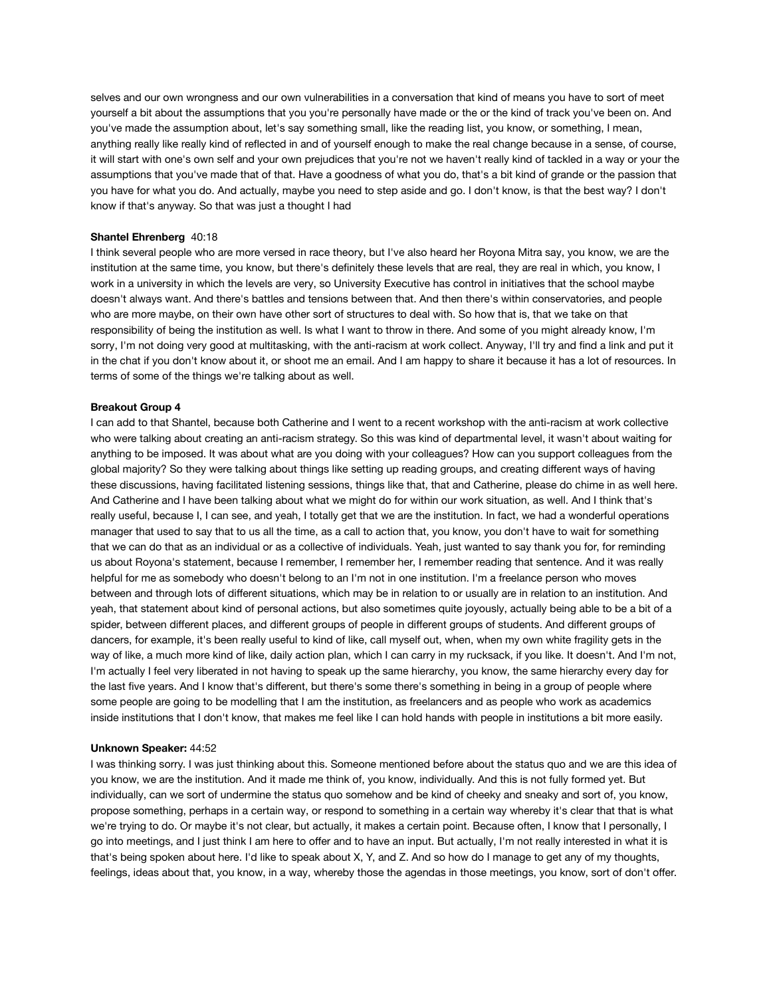selves and our own wrongness and our own vulnerabilities in a conversation that kind of means you have to sort of meet yourself a bit about the assumptions that you you're personally have made or the or the kind of track you've been on. And you've made the assumption about, let's say something small, like the reading list, you know, or something, I mean, anything really like really kind of reflected in and of yourself enough to make the real change because in a sense, of course, it will start with one's own self and your own prejudices that you're not we haven't really kind of tackled in a way or your the assumptions that you've made that of that. Have a goodness of what you do, that's a bit kind of grande or the passion that you have for what you do. And actually, maybe you need to step aside and go. I don't know, is that the best way? I don't know if that's anyway. So that was just a thought I had

# **Shantel Ehrenberg** 40:18

I think several people who are more versed in race theory, but I've also heard her Royona Mitra say, you know, we are the institution at the same time, you know, but there's definitely these levels that are real, they are real in which, you know, I work in a university in which the levels are very, so University Executive has control in initiatives that the school maybe doesn't always want. And there's battles and tensions between that. And then there's within conservatories, and people who are more maybe, on their own have other sort of structures to deal with. So how that is, that we take on that responsibility of being the institution as well. Is what I want to throw in there. And some of you might already know, I'm sorry, I'm not doing very good at multitasking, with the anti-racism at work collect. Anyway, I'll try and find a link and put it in the chat if you don't know about it, or shoot me an email. And I am happy to share it because it has a lot of resources. In terms of some of the things we're talking about as well.

#### **Breakout Group 4**

I can add to that Shantel, because both Catherine and I went to a recent workshop with the anti-racism at work collective who were talking about creating an anti-racism strategy. So this was kind of departmental level, it wasn't about waiting for anything to be imposed. It was about what are you doing with your colleagues? How can you support colleagues from the global majority? So they were talking about things like setting up reading groups, and creating different ways of having these discussions, having facilitated listening sessions, things like that, that and Catherine, please do chime in as well here. And Catherine and I have been talking about what we might do for within our work situation, as well. And I think that's really useful, because I, I can see, and yeah, I totally get that we are the institution. In fact, we had a wonderful operations manager that used to say that to us all the time, as a call to action that, you know, you don't have to wait for something that we can do that as an individual or as a collective of individuals. Yeah, just wanted to say thank you for, for reminding us about Royona's statement, because I remember, I remember her, I remember reading that sentence. And it was really helpful for me as somebody who doesn't belong to an I'm not in one institution. I'm a freelance person who moves between and through lots of different situations, which may be in relation to or usually are in relation to an institution. And yeah, that statement about kind of personal actions, but also sometimes quite joyously, actually being able to be a bit of a spider, between different places, and different groups of people in different groups of students. And different groups of dancers, for example, it's been really useful to kind of like, call myself out, when, when my own white fragility gets in the way of like, a much more kind of like, daily action plan, which I can carry in my rucksack, if you like. It doesn't. And I'm not, I'm actually I feel very liberated in not having to speak up the same hierarchy, you know, the same hierarchy every day for the last five years. And I know that's different, but there's some there's something in being in a group of people where some people are going to be modelling that I am the institution, as freelancers and as people who work as academics inside institutions that I don't know, that makes me feel like I can hold hands with people in institutions a bit more easily.

# **Unknown Speaker:** 44:52

I was thinking sorry. I was just thinking about this. Someone mentioned before about the status quo and we are this idea of you know, we are the institution. And it made me think of, you know, individually. And this is not fully formed yet. But individually, can we sort of undermine the status quo somehow and be kind of cheeky and sneaky and sort of, you know, propose something, perhaps in a certain way, or respond to something in a certain way whereby it's clear that that is what we're trying to do. Or maybe it's not clear, but actually, it makes a certain point. Because often, I know that I personally, I go into meetings, and I just think I am here to offer and to have an input. But actually, I'm not really interested in what it is that's being spoken about here. I'd like to speak about X, Y, and Z. And so how do I manage to get any of my thoughts, feelings, ideas about that, you know, in a way, whereby those the agendas in those meetings, you know, sort of don't offer.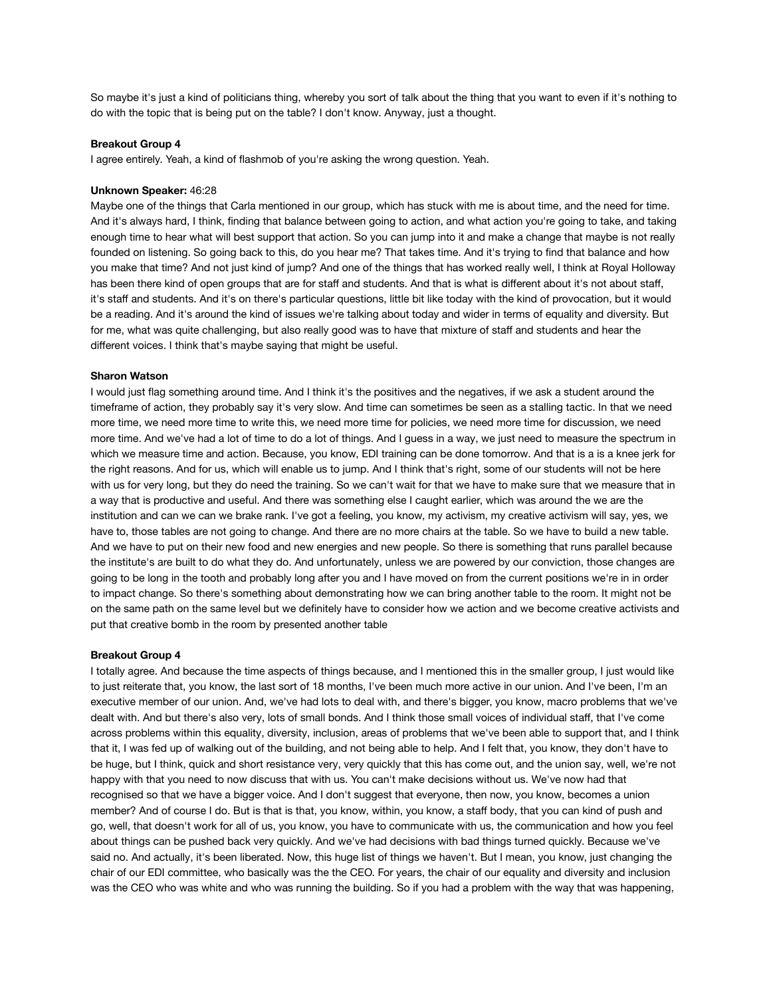So maybe it's just a kind of politicians thing, whereby you sort of talk about the thing that you want to even if it's nothing to do with the topic that is being put on the table? I don't know. Anyway, just a thought.

# **Breakout Group 4**

I agree entirely. Yeah, a kind of flashmob of you're asking the wrong question. Yeah.

#### **Unknown Speaker:** 46:28

Maybe one of the things that Carla mentioned in our group, which has stuck with me is about time, and the need for time. And it's always hard, I think, finding that balance between going to action, and what action you're going to take, and taking enough time to hear what will best support that action. So you can jump into it and make a change that maybe is not really founded on listening. So going back to this, do you hear me? That takes time. And it's trying to find that balance and how you make that time? And not just kind of jump? And one of the things that has worked really well, I think at Royal Holloway has been there kind of open groups that are for staff and students. And that is what is different about it's not about staff, it's staff and students. And it's on there's particular questions, little bit like today with the kind of provocation, but it would be a reading. And it's around the kind of issues we're talking about today and wider in terms of equality and diversity. But for me, what was quite challenging, but also really good was to have that mixture of staff and students and hear the different voices. I think that's maybe saying that might be useful.

# **Sharon Watson**

I would just flag something around time. And I think it's the positives and the negatives, if we ask a student around the timeframe of action, they probably say it's very slow. And time can sometimes be seen as a stalling tactic. In that we need more time, we need more time to write this, we need more time for policies, we need more time for discussion, we need more time. And we've had a lot of time to do a lot of things. And I guess in a way, we just need to measure the spectrum in which we measure time and action. Because, you know, EDI training can be done tomorrow. And that is a is a knee jerk for the right reasons. And for us, which will enable us to jump. And I think that's right, some of our students will not be here with us for very long, but they do need the training. So we can't wait for that we have to make sure that we measure that in a way that is productive and useful. And there was something else I caught earlier, which was around the we are the institution and can we can we brake rank. I've got a feeling, you know, my activism, my creative activism will say, yes, we have to, those tables are not going to change. And there are no more chairs at the table. So we have to build a new table. And we have to put on their new food and new energies and new people. So there is something that runs parallel because the institute's are built to do what they do. And unfortunately, unless we are powered by our conviction, those changes are going to be long in the tooth and probably long after you and I have moved on from the current positions we're in in order to impact change. So there's something about demonstrating how we can bring another table to the room. It might not be on the same path on the same level but we definitely have to consider how we action and we become creative activists and put that creative bomb in the room by presented another table

#### **Breakout Group 4**

I totally agree. And because the time aspects of things because, and I mentioned this in the smaller group, I just would like to just reiterate that, you know, the last sort of 18 months, I've been much more active in our union. And I've been, I'm an executive member of our union. And, we've had lots to deal with, and there's bigger, you know, macro problems that we've dealt with. And but there's also very, lots of small bonds. And I think those small voices of individual staff, that I've come across problems within this equality, diversity, inclusion, areas of problems that we've been able to support that, and I think that it, I was fed up of walking out of the building, and not being able to help. And I felt that, you know, they don't have to be huge, but I think, quick and short resistance very, very quickly that this has come out, and the union say, well, we're not happy with that you need to now discuss that with us. You can't make decisions without us. We've now had that recognised so that we have a bigger voice. And I don't suggest that everyone, then now, you know, becomes a union member? And of course I do. But is that is that, you know, within, you know, a staff body, that you can kind of push and go, well, that doesn't work for all of us, you know, you have to communicate with us, the communication and how you feel about things can be pushed back very quickly. And we've had decisions with bad things turned quickly. Because we've said no. And actually, it's been liberated. Now, this huge list of things we haven't. But I mean, you know, just changing the chair of our EDI committee, who basically was the the CEO. For years, the chair of our equality and diversity and inclusion was the CEO who was white and who was running the building. So if you had a problem with the way that was happening,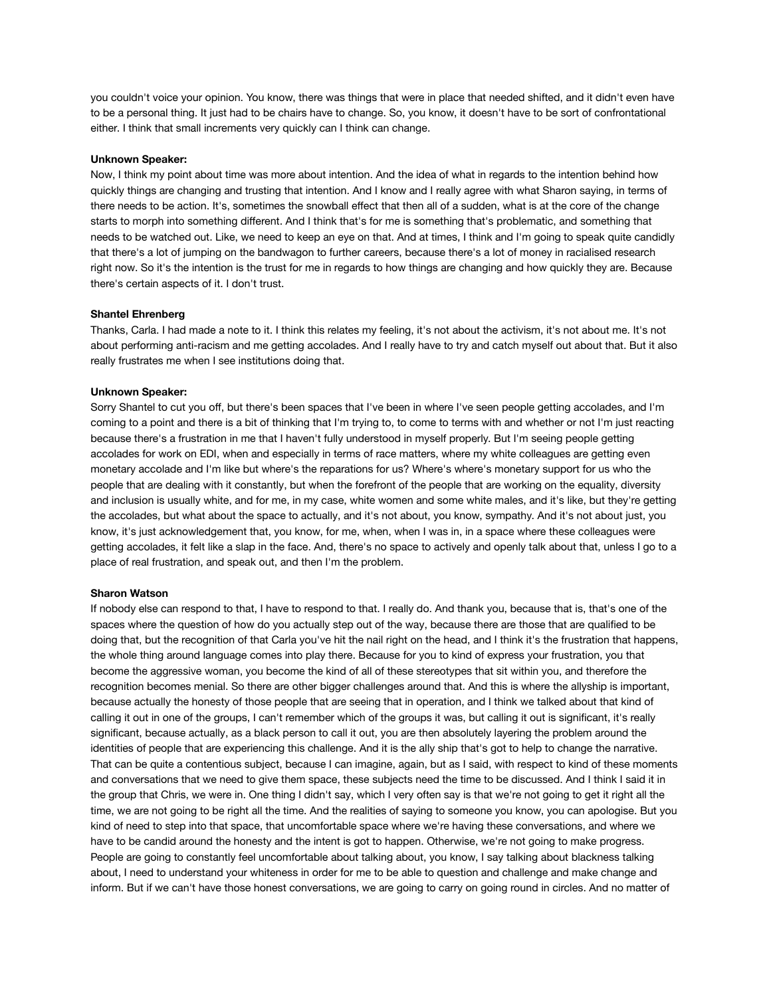you couldn't voice your opinion. You know, there was things that were in place that needed shifted, and it didn't even have to be a personal thing. It just had to be chairs have to change. So, you know, it doesn't have to be sort of confrontational either. I think that small increments very quickly can I think can change.

# **Unknown Speaker:**

Now, I think my point about time was more about intention. And the idea of what in regards to the intention behind how quickly things are changing and trusting that intention. And I know and I really agree with what Sharon saying, in terms of there needs to be action. It's, sometimes the snowball effect that then all of a sudden, what is at the core of the change starts to morph into something different. And I think that's for me is something that's problematic, and something that needs to be watched out. Like, we need to keep an eye on that. And at times, I think and I'm going to speak quite candidly that there's a lot of jumping on the bandwagon to further careers, because there's a lot of money in racialised research right now. So it's the intention is the trust for me in regards to how things are changing and how quickly they are. Because there's certain aspects of it. I don't trust.

#### **Shantel Ehrenberg**

Thanks, Carla. I had made a note to it. I think this relates my feeling, it's not about the activism, it's not about me. It's not about performing anti-racism and me getting accolades. And I really have to try and catch myself out about that. But it also really frustrates me when I see institutions doing that.

#### **Unknown Speaker:**

Sorry Shantel to cut you off, but there's been spaces that I've been in where I've seen people getting accolades, and I'm coming to a point and there is a bit of thinking that I'm trying to, to come to terms with and whether or not I'm just reacting because there's a frustration in me that I haven't fully understood in myself properly. But I'm seeing people getting accolades for work on EDI, when and especially in terms of race matters, where my white colleagues are getting even monetary accolade and I'm like but where's the reparations for us? Where's where's monetary support for us who the people that are dealing with it constantly, but when the forefront of the people that are working on the equality, diversity and inclusion is usually white, and for me, in my case, white women and some white males, and it's like, but they're getting the accolades, but what about the space to actually, and it's not about, you know, sympathy. And it's not about just, you know, it's just acknowledgement that, you know, for me, when, when I was in, in a space where these colleagues were getting accolades, it felt like a slap in the face. And, there's no space to actively and openly talk about that, unless I go to a place of real frustration, and speak out, and then I'm the problem.

# **Sharon Watson**

If nobody else can respond to that, I have to respond to that. I really do. And thank you, because that is, that's one of the spaces where the question of how do you actually step out of the way, because there are those that are qualified to be doing that, but the recognition of that Carla you've hit the nail right on the head, and I think it's the frustration that happens, the whole thing around language comes into play there. Because for you to kind of express your frustration, you that become the aggressive woman, you become the kind of all of these stereotypes that sit within you, and therefore the recognition becomes menial. So there are other bigger challenges around that. And this is where the allyship is important, because actually the honesty of those people that are seeing that in operation, and I think we talked about that kind of calling it out in one of the groups, I can't remember which of the groups it was, but calling it out is significant, it's really significant, because actually, as a black person to call it out, you are then absolutely layering the problem around the identities of people that are experiencing this challenge. And it is the ally ship that's got to help to change the narrative. That can be quite a contentious subject, because I can imagine, again, but as I said, with respect to kind of these moments and conversations that we need to give them space, these subjects need the time to be discussed. And I think I said it in the group that Chris, we were in. One thing I didn't say, which I very often say is that we're not going to get it right all the time, we are not going to be right all the time. And the realities of saying to someone you know, you can apologise. But you kind of need to step into that space, that uncomfortable space where we're having these conversations, and where we have to be candid around the honesty and the intent is got to happen. Otherwise, we're not going to make progress. People are going to constantly feel uncomfortable about talking about, you know, I say talking about blackness talking about, I need to understand your whiteness in order for me to be able to question and challenge and make change and inform. But if we can't have those honest conversations, we are going to carry on going round in circles. And no matter of